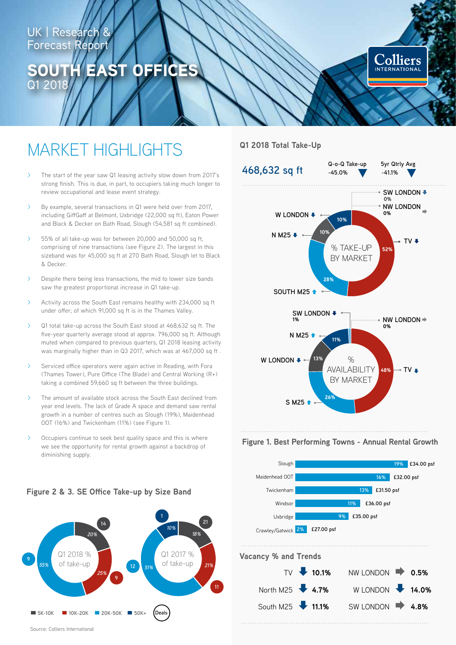# UK | Research & **Forecast Report**

# EAST OFFICES Q1 201



# MARKET HIGHLIGHTS

- The start of the year saw Q1 leasing activity slow down from 2017's strong finish. This is due, in part, to occupiers taking much longer to review occupational and lease event strategy.
- By example, several transactions in Q1 were held over from 2017, including GiffGaff at Belmont, Uxbridge (22,000 sq ft), Eaton Power and Black & Decker on Bath Road, Slough (54,581 sq ft combined).
- > 55% of all take-up was for between 20,000 and 50,000 sq ft, comprising of nine transactions (see Figure 2). The largest in this sizeband was for 45,000 sq ft at 270 Bath Road, Slough let to Black & Decker.
- > Despite there being less transactions, the mid to lower size bands saw the greatest proportional increase in Q1 take-up.
- Activity across the South East remains healthy with 234,000 sq ft under offer; of which 91,000 sq ft is in the Thames Valley.
- > Q1 total take-up across the South East stood at 468,632 sq ft. The five-year quarterly average stood at approx. 796,000 sq ft. Although muted when compared to previous quarters, Q1 2018 leasing activity was marginally higher than in Q3 2017, which was at 467,000 sq ft .
- > Serviced office operators were again active in Reading, with Fora (Thames Tower), Pure Office (The Blade) and Central Working (R+) taking a combined 59,660 sq ft between the three buildings.
- The amount of available stock across the South East declined from year end levels. The lack of Grade A space and demand saw rental growth in a number of centres such as Slough (19%), Maidenhead OOT (16%) and Twickenham (11%) (see Figure 1).
- > Occupiers continue to seek best quality space and this is where we see the opportunity for rental growth against a backdrop of diminishing supply.

#### Q1 2018 % of take-up Q1 2017 % of take-up *21% 51%* **5K-10K 10K-20K 20K-50K 50K+ 21 9 11 12 Deals 1 14 9** *18% 10% 20% 55% 25%*

## **Q1 2018 Total Take-Up**



#### **Figure 1. Best Performing Towns - Annual Rental Growth**



## **Figure 2 & 3. SE Office Take-up by Size Band**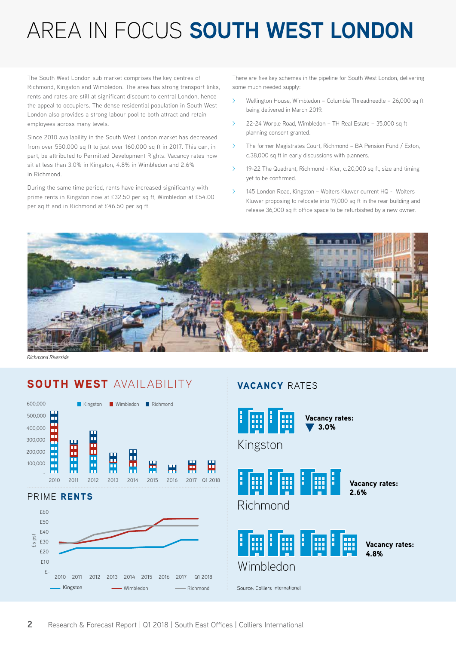# AREA IN FOCUS **SOUTH WEST LONDON**

The South West London sub market comprises the key centres of Richmond, Kingston and Wimbledon. The area has strong transport links, rents and rates are still at significant discount to central London, hence the appeal to occupiers. The dense residential population in South West London also provides a strong labour pool to both attract and retain employees across many levels.

Since 2010 availability in the South West London market has decreased from over 550,000 sq ft to just over 160,000 sq ft in 2017. This can, in part, be attributed to Permitted Development Rights. Vacancy rates now sit at less than 3.0% in Kingston, 4.8% in Wimbledon and 2.6% in Richmond.

During the same time period, rents have increased significantly with prime rents in Kingston now at £32.50 per sq ft, Wimbledon at £54.00 per sq ft and in Richmond at £46.50 per sq ft.

There are five key schemes in the pipeline for South West London, delivering some much needed supply:

- > Wellington House, Wimbledon Columbia Threadneedle 26,000 sq ft being delivered in March 2019.
- > 22-24 Worple Road, Wimbledon TH Real Estate 35,000 sq ft planning consent granted.
- > The former Magistrates Court, Richmond BA Pension Fund / Exton, c.38,000 sq ft in early discussions with planners.
- 19-22 The Quadrant, Richmond Kier, c.20,000 sq ft, size and timing yet to be confirmed.
- > 145 London Road, Kingston Wolters Kluwer current HQ Wolters Kluwer proposing to relocate into 19,000 sq ft in the rear building and release 36,000 sq ft office space to be refurbished by a new owner.



*Richmond Riverside*

# SOUTH WEST AVAIL ABILITY



# VACANCY RATES

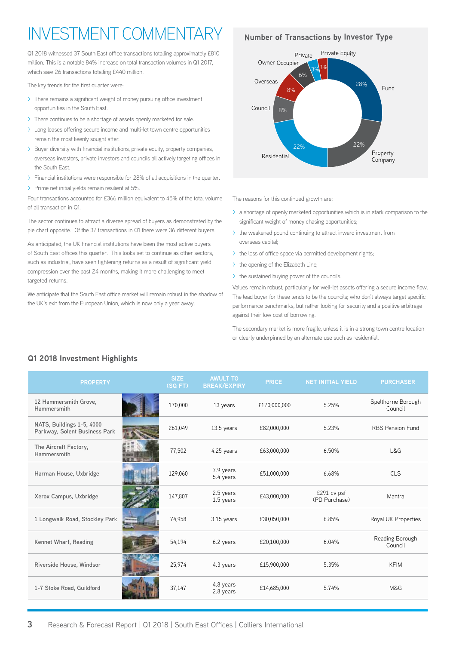# INVESTMENT COMMENT

Q1 2018 witnessed 37 South East office transactions totalling approximately £810 million. This is a notable 84% increase on total transaction volumes in Q1 2017, which saw 26 transactions totalling £440 million.

The key trends for the first quarter were:

- > There remains a significant weight of money pursuing office investment opportunities in the South East.
- > There continues to be a shortage of assets openly marketed for sale.
- > Long leases offering secure income and multi-let town centre opportunities remain the most keenly sought after.
- > Buyer diversity with financial institutions, private equity, property companies, overseas investors, private investors and councils all actively targeting offices in the South East.
- > Financial institutions were responsible for 28% of all acquisitions in the quarter.
- > Prime net initial yields remain resilient at 5%.

Four transactions accounted for £366 million equivalent to 45% of the total volume of all transaction in Q1.

The sector continues to attract a diverse spread of buyers as demonstrated by the pie chart opposite. Of the 37 transactions in Q1 there were 36 different buyers.

As anticipated, the UK financial institutions have been the most active buyers of South East offices this quarter. This looks set to continue as other sectors, such as industrial, have seen tightening returns as a result of significant yield compression over the past 24 months, making it more challenging to meet targeted returns.

We anticipate that the South East office market will remain robust in the shadow of the UK's exit from the European Union, which is now only a year away.

#### **Number of Transactions by Investor Type**



The reasons for this continued growth are:

- $\geq$  a shortage of openly marketed opportunities which is in stark comparison to the significant weight of money chasing opportunities;
- > the weakened pound continuing to attract inward investment from overseas capital;
- > the loss of office space via permitted development rights;
- > the opening of the Elizabeth Line;
- > the sustained buying power of the councils.

Values remain robust, particularly for well-let assets offering a secure income flow. The lead buyer for these tends to be the councils; who don't always target specific performance benchmarks, but rather looking for security and a positive arbitrage against their low cost of borrowing.

The secondary market is more fragile, unless it is in a strong town centre location or clearly underpinned by an alternate use such as residential.

| <b>PROPERTY</b>                                            | <b>SIZE</b><br>(SQFT) | <b>AWULT TO</b><br><b>BREAK/EXPIRY</b> | <b>PRICE</b> | <b>NET INITIAL YIELD</b>     | <b>PURCHASER</b>              |
|------------------------------------------------------------|-----------------------|----------------------------------------|--------------|------------------------------|-------------------------------|
| 12 Hammersmith Grove,<br>Hammersmith                       | 170,000               | 13 years                               | £170,000,000 | 5.25%                        | Spelthorne Borough<br>Council |
| NATS, Buildings 1-5, 4000<br>Parkway, Solent Business Park | 261,049               | 13.5 years                             | £82,000,000  | 5.23%                        | <b>RBS Pension Fund</b>       |
| The Aircraft Factory,<br>Hammersmith                       | 77,502                | 4.25 years                             | £63,000,000  | 6.50%                        | L&G                           |
| Harman House, Uxbridge                                     | 129,060               | 7.9 years<br>5.4 years                 | £51,000,000  | 6.68%                        | <b>CLS</b>                    |
| Xerox Campus, Uxbridge                                     | 147,807               | 2.5 years<br>1.5 years                 | £43,000,000  | £291 cv psf<br>(PD Purchase) | Mantra                        |
| 1 Longwalk Road, Stockley Park                             | 74,958                | 3.15 years                             | £30,050,000  | 6.85%                        | Royal UK Properties           |
| Kennet Wharf, Reading                                      | 54,194                | 6.2 years                              | £20,100,000  | 6.04%                        | Reading Borough<br>Council    |
| Riverside House, Windsor                                   | 25,974                | 4.3 years                              | £15,900,000  | 5.35%                        | <b>KFIM</b>                   |
| 1-7 Stoke Road, Guildford                                  | 37,147                | 4.8 years<br>2.8 years                 | £14,685,000  | 5.74%                        | M&G                           |

## **Q1 2018 Investment Highlights**